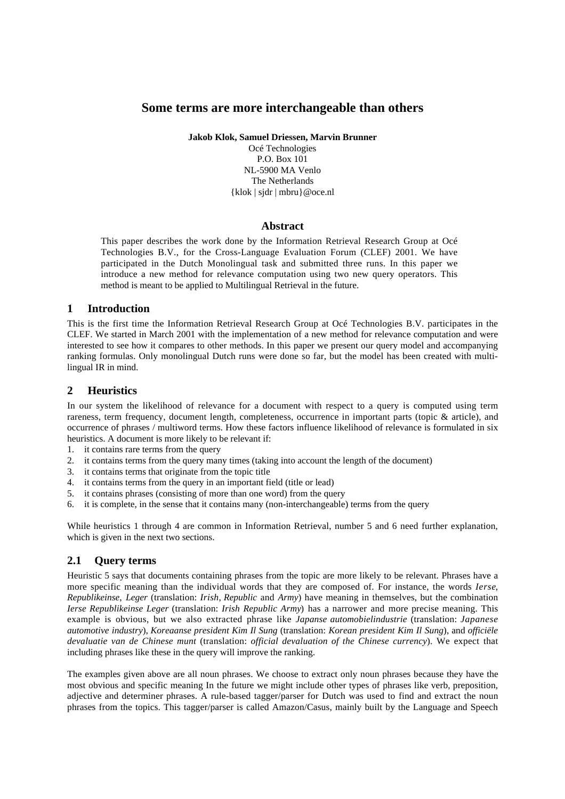# **Some terms are more interchangeable than others**

**Jakob Klok, Samuel Driessen, Marvin Brunner**

Océ Technologies P.O. Box 101 NL-5900 MA Venlo The Netherlands {klok | sjdr | mbru}@oce.nl

### **Abstract**

This paper describes the work done by the Information Retrieval Research Group at Océ Technologies B.V., for the Cross-Language Evaluation Forum (CLEF) 2001. We have participated in the Dutch Monolingual task and submitted three runs. In this paper we introduce a new method for relevance computation using two new query operators. This method is meant to be applied to Multilingual Retrieval in the future.

### **1 Introduction**

This is the first time the Information Retrieval Research Group at Océ Technologies B.V. participates in the CLEF. We started in March 2001 with the implementation of a new method for relevance computation and were interested to see how it compares to other methods. In this paper we present our query model and accompanying ranking formulas. Only monolingual Dutch runs were done so far, but the model has been created with multilingual IR in mind.

## **2 Heuristics**

In our system the likelihood of relevance for a document with respect to a query is computed using term rareness, term frequency, document length, completeness, occurrence in important parts (topic & article), and occurrence of phrases / multiword terms. How these factors influence likelihood of relevance is formulated in six heuristics. A document is more likely to be relevant if:

- 1. it contains rare terms from the query
- 2. it contains terms from the query many times (taking into account the length of the document)
- 3. it contains terms that originate from the topic title
- 4. it contains terms from the query in an important field (title or lead)
- 5. it contains phrases (consisting of more than one word) from the query
- 6. it is complete, in the sense that it contains many (non-interchangeable) terms from the query

While heuristics 1 through 4 are common in Information Retrieval, number 5 and 6 need further explanation, which is given in the next two sections.

## **2.1 Query terms**

Heuristic 5 says that documents containing phrases from the topic are more likely to be relevant. Phrases have a more specific meaning than the individual words that they are composed of. For instance, the words *Ierse*, *Republikeinse*, *Leger* (translation: *Irish*, *Republic* and *Army*) have meaning in themselves, but the combination *Ierse Republikeinse Leger* (translation: *Irish Republic Army*) has a narrower and more precise meaning. This example is obvious, but we also extracted phrase like *Japanse automobielindustrie* (translation: *Japanese automotive industry*), *Koreaanse president Kim Il Sung* (translation: *Korean president Kim Il Sung*), and *officiële devaluatie van de Chinese munt* (translation: *official devaluation of the Chinese currency*). We expect that including phrases like these in the query will improve the ranking.

The examples given above are all noun phrases. We choose to extract only noun phrases because they have the most obvious and specific meaning In the future we might include other types of phrases like verb, preposition, adjective and determiner phrases. A rule-based tagger/parser for Dutch was used to find and extract the noun phrases from the topics. This tagger/parser is called Amazon/Casus, mainly built by the Language and Speech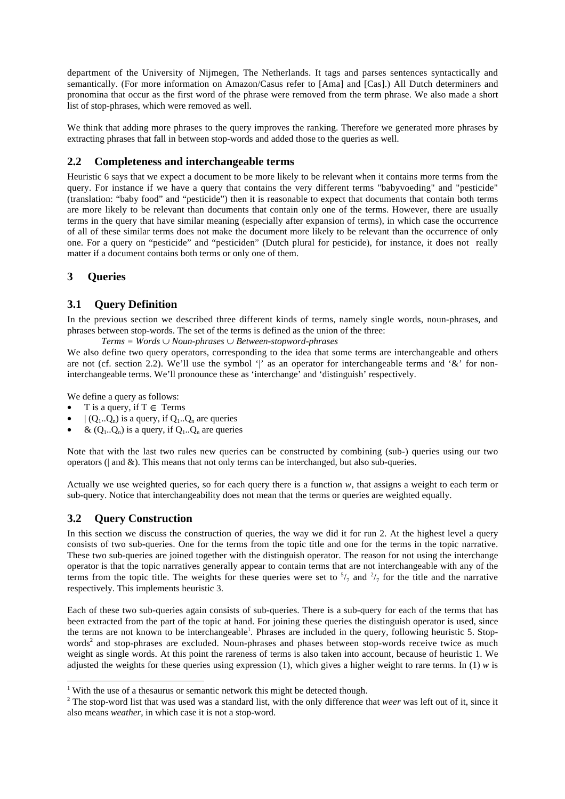department of the University of Nijmegen, The Netherlands. It tags and parses sentences syntactically and semantically. (For more information on Amazon/Casus refer to [Ama] and [Cas].) All Dutch determiners and pronomina that occur as the first word of the phrase were removed from the term phrase. We also made a short list of stop-phrases, which were removed as well.

We think that adding more phrases to the query improves the ranking. Therefore we generated more phrases by extracting phrases that fall in between stop-words and added those to the queries as well.

### **2.2 Completeness and interchangeable terms**

Heuristic 6 says that we expect a document to be more likely to be relevant when it contains more terms from the query. For instance if we have a query that contains the very different terms "babyvoeding" and "pesticide" (translation: "baby food" and "pesticide") then it is reasonable to expect that documents that contain both terms are more likely to be relevant than documents that contain only one of the terms. However, there are usually terms in the query that have similar meaning (especially after expansion of terms), in which case the occurrence of all of these similar terms does not make the document more likely to be relevant than the occurrence of only one. For a query on "pesticide" and "pesticiden" (Dutch plural for pesticide), for instance, it does not really matter if a document contains both terms or only one of them.

### **3 Queries**

### **3.1 Query Definition**

In the previous section we described three different kinds of terms, namely single words, noun-phrases, and phrases between stop-words. The set of the terms is defined as the union of the three:

*Terms = Words* ∪ *Noun-phrases* ∪ *Between-stopword-phrases*

We also define two query operators, corresponding to the idea that some terms are interchangeable and others are not (cf. section 2.2). We'll use the symbol '|' as an operator for interchangeable terms and '&' for noninterchangeable terms. We'll pronounce these as 'interchange' and 'distinguish' respectively.

We define a query as follows:

- T is a query, if  $T \in \mathcal{T}$  erms
- $|(Q_1..Q_n)$  is a query, if  $Q_1..Q_n$  are queries
- &  $(Q_1..Q_n)$  is a query, if  $Q_1..Q_n$  are queries

Note that with the last two rules new queries can be constructed by combining (sub-) queries using our two operators ( $\vert$  and  $\&$ ). This means that not only terms can be interchanged, but also sub-queries.

Actually we use weighted queries, so for each query there is a function *w*, that assigns a weight to each term or sub-query. Notice that interchangeability does not mean that the terms or queries are weighted equally.

### **3.2 Query Construction**

j

In this section we discuss the construction of queries, the way we did it for run 2. At the highest level a query consists of two sub-queries. One for the terms from the topic title and one for the terms in the topic narrative. These two sub-queries are joined together with the distinguish operator. The reason for not using the interchange operator is that the topic narratives generally appear to contain terms that are not interchangeable with any of the terms from the topic title. The weights for these queries were set to  $\frac{5}{7}$  and  $\frac{2}{7}$  for the title and the narrative respectively. This implements heuristic 3.

Each of these two sub-queries again consists of sub-queries. There is a sub-query for each of the terms that has been extracted from the part of the topic at hand. For joining these queries the distinguish operator is used, since the terms are not known to be interchangeable<sup>1</sup>. Phrases are included in the query, following heuristic 5. Stopwords<sup>2</sup> and stop-phrases are excluded. Noun-phrases and phases between stop-words receive twice as much weight as single words. At this point the rareness of terms is also taken into account, because of heuristic 1. We adjusted the weights for these queries using expression  $(1)$ , which gives a higher weight to rare terms. In  $(1)$  *w* is

 $1$  With the use of a thesaurus or semantic network this might be detected though.

<sup>&</sup>lt;sup>2</sup> The stop-word list that was used was a standard list, with the only difference that *weer* was left out of it, since it also means *weather*, in which case it is not a stop-word.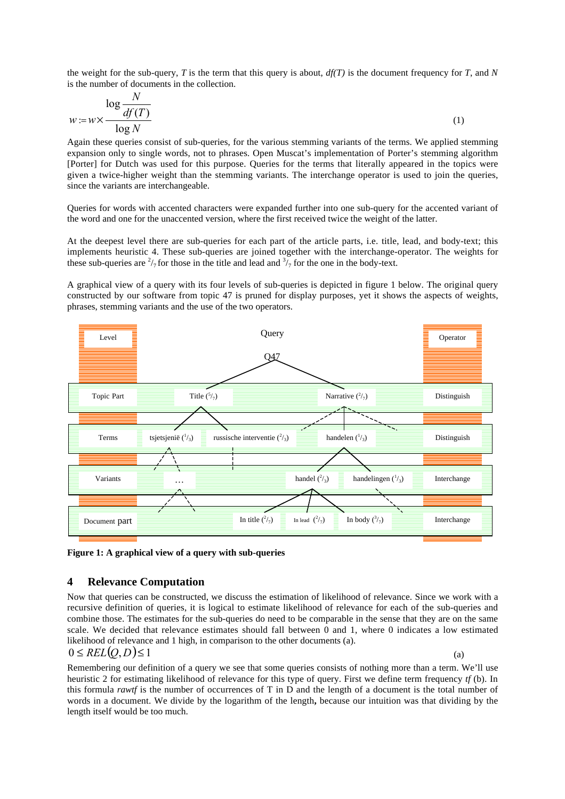the weight for the sub-query, *T* is the term that this query is about,  $df(T)$  is the document frequency for *T*, and *N* is the number of documents in the collection.

$$
w := w \times \frac{\log \frac{N}{df(T)}}{\log N} \tag{1}
$$

Again these queries consist of sub-queries, for the various stemming variants of the terms. We applied stemming expansion only to single words, not to phrases. Open Muscat's implementation of Porter's stemming algorithm [Porter] for Dutch was used for this purpose. Queries for the terms that literally appeared in the topics were given a twice-higher weight than the stemming variants. The interchange operator is used to join the queries, since the variants are interchangeable.

Queries for words with accented characters were expanded further into one sub-query for the accented variant of the word and one for the unaccented version, where the first received twice the weight of the latter.

At the deepest level there are sub-queries for each part of the article parts, i.e. title, lead, and body-text; this implements heuristic 4. These sub-queries are joined together with the interchange-operator. The weights for these sub-queries are  $\frac{2}{7}$  for those in the title and lead and  $\frac{3}{7}$  for the one in the body-text.

A graphical view of a query with its four levels of sub-queries is depicted in figure 1 below. The original query constructed by our software from topic 47 is pruned for display purposes, yet it shows the aspects of weights, phrases, stemming variants and the use of the two operators.



**Figure 1: A graphical view of a query with sub-queries**

#### **4 Relevance Computation**

Now that queries can be constructed, we discuss the estimation of likelihood of relevance. Since we work with a recursive definition of queries, it is logical to estimate likelihood of relevance for each of the sub-queries and combine those. The estimates for the sub-queries do need to be comparable in the sense that they are on the same scale. We decided that relevance estimates should fall between 0 and 1, where 0 indicates a low estimated likelihood of relevance and 1 high, in comparison to the other documents (a).  $0 \leq REL(Q, D) \leq 1$  (a)

$$
0 \leq REL(Q, D) \leq 1
$$

Remembering our definition of a query we see that some queries consists of nothing more than a term. We'll use heuristic 2 for estimating likelihood of relevance for this type of query. First we define term frequency *tf* (b). In this formula *rawtf* is the number of occurrences of T in D and the length of a document is the total number of words in a document. We divide by the logarithm of the length**,** because our intuition was that dividing by the length itself would be too much.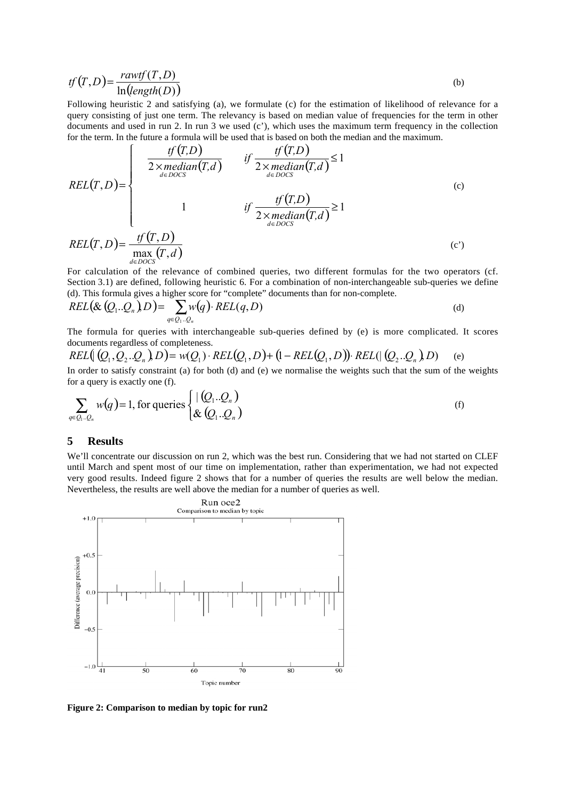$$
tf(T,D) = \frac{rawtf(T,D)}{\ln(\text{length}(D))}
$$
 (b)

Following heuristic 2 and satisfying (a), we formulate (c) for the estimation of likelihood of relevance for a query consisting of just one term. The relevancy is based on median value of frequencies for the term in other documents and used in run 2. In run 3 we used  $(c')$ , which uses the maximum term frequency in the collection for the term. In the future a formula will be used that is based on both the median and the maximum.

$$
REL(T, D) = \begin{cases} \frac{tf(T, D)}{2 \times median(T, d)} & \text{if } \frac{tf(T, D)}{2 \times median(T, d)} \le 1\\ 1 & \text{if } \frac{tf(T, D)}{2 \times median(T, d)} \ge 1\\ 1 & \text{if } \frac{tf(T, D)}{2 \times median(T, d)} \ge 1\\ \text{REL}(T, D) = \frac{tf(T, D)}{max(T, d)} & \text{(c')} \end{cases}
$$

For calculation of the relevance of combined queries, two different formulas for the two operators (cf. Section 3.1) are defined, following heuristic 6. For a combination of non-interchangeable sub-queries we define (d). This formula gives a higher score for "complete" documents than for non-complete.

$$
REL\big(\& (Q_1..Q_n)_D\big) = \sum_{q \in Q_1..Q_n} w(q) \cdot REL(q, D) \tag{d}
$$

The formula for queries with interchangeable sub-queries defined by (e) is more complicated. It scores documents regardless of completeness.

$$
REL([Q_1, Q_2..Q_n], D) = w(Q_1) \cdot REL(Q_1, D) + (1 - REL(Q_1, D)) \cdot REL([Q_2..Q_n], D)
$$
 (e)

In order to satisfy constraint (a) for both (d) and (e) we normalise the weights such that the sum of the weights for a query is exactly one (f).

$$
\sum_{q \in Q_1 \dots Q_n} w(q) = 1, \text{ for queries } \begin{cases} \mid (Q_1 \dots Q_n) \\ \& (Q_1 \dots Q_n) \end{cases} \tag{f}
$$

#### **5 Results**

We'll concentrate our discussion on run 2, which was the best run. Considering that we had not started on CLEF until March and spent most of our time on implementation, rather than experimentation, we had not expected very good results. Indeed figure 2 shows that for a number of queries the results are well below the median. Nevertheless, the results are well above the median for a number of queries as well.



**Figure 2: Comparison to median by topic for run2**